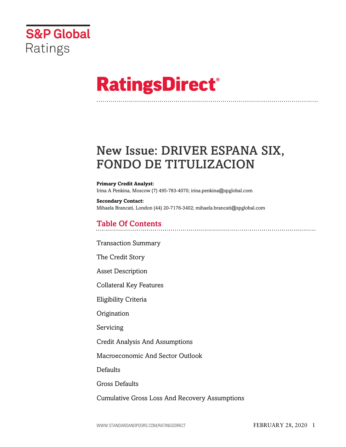

# **RatingsDirect®**

# New Issue: DRIVER ESPANA SIX, FONDO DE TITULIZACION

#### **Primary Credit Analyst:**

Irina A Penkina, Moscow (7) 495-783-4070; irina.penkina@spglobal.com

**Secondary Contact:** Mihaela Brancati, London (44) 20-7176-3402; mihaela.brancati@spglobal.com

### Table Of Contents

[Transaction Summary](#page-2-0)

[The Credit Story](#page-3-0)

[Asset Description](#page-4-0)

[Collateral Key Features](#page-4-1)

[Eligibility Criteria](#page-6-0)

[Origination](#page-6-1)

[Servicing](#page-6-2)

[Credit Analysis And Assumptions](#page-7-0)

[Macroeconomic And Sector Outlook](#page-7-1)

**[Defaults](#page-7-2)** 

[Gross Defaults](#page-8-0)

[Cumulative Gross Loss And Recovery Assumptions](#page-9-0)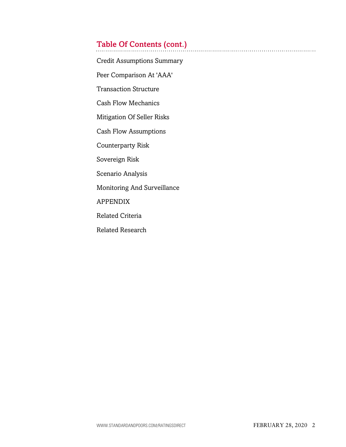### Table Of Contents (cont.)

[Credit Assumptions Summary](#page-10-0)

[Peer Comparison At 'AAA'](#page-10-1)

[Transaction Structure](#page-10-2)

[Cash Flow Mechanics](#page-11-0)

[Mitigation Of Seller Risks](#page-13-0)

[Cash Flow Assumptions](#page-15-0)

[Counterparty Risk](#page-16-0)

[Sovereign Risk](#page-17-0)

[Scenario Analysis](#page-17-1)

[Monitoring And Surveillance](#page-17-2)

[APPENDIX](#page-17-3)

[Related Criteria](#page-18-0)

[Related Research](#page-18-1)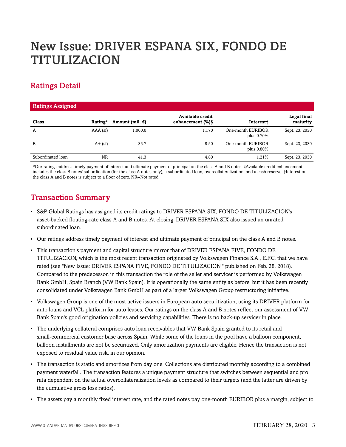# New Issue: DRIVER ESPANA SIX, FONDO DE TITULIZACION

### Ratings Detail

| <b>Ratings Assigned</b> |            |                           |                                         |                                    |                         |
|-------------------------|------------|---------------------------|-----------------------------------------|------------------------------------|-------------------------|
| Class                   | Rating*    | Amount (mil. $\epsilon$ ) | Available credit<br>enhancement $(\%)\$ | Interest+                          | Legal final<br>maturity |
| A                       | $AAA$ (sf) | 1,000.0                   | 11.70                                   | One-month EURIBOR<br>plus $0.70\%$ | Sept. 23, 2030          |
| B                       | $A + (sf)$ | 35.7                      | 8.50                                    | One-month EURIBOR<br>plus $0.80\%$ | Sept. 23, 2030          |
| Subordinated loan       | <b>NR</b>  | 41.3                      | 4.80                                    | 1.21%                              | Sept. 23, 2030          |

\*Our ratings address timely payment of interest and ultimate payment of principal on the class A and B notes. §Available credit enhancement includes the class B notes' subordination (for the class A notes only), a subordinated loan, overcollateralization, and a cash reserve. †Interest on the class A and B notes is subject to a floor of zero. NR--Not rated.

### <span id="page-2-0"></span>Transaction Summary

- S&P Global Ratings has assigned its credit ratings to DRIVER ESPANA SIX, FONDO DE TITULIZACION's asset-backed floating-rate class A and B notes. At closing, DRIVER ESPANA SIX also issued an unrated subordinated loan.
- Our ratings address timely payment of interest and ultimate payment of principal on the class A and B notes.
- This transaction's payment and capital structure mirror that of DRIVER ESPANA FIVE, FONDO DE TITULIZACION, which is the most recent transaction originated by Volkswagen Finance S.A., E.F.C. that we have rated (see "New Issue: DRIVER ESPANA FIVE, FONDO DE TITULIZACION," published on Feb. 28, 2018). Compared to the predecessor, in this transaction the role of the seller and servicer is performed by Volkswagen Bank GmbH, Spain Branch (VW Bank Spain). It is operationally the same entity as before, but it has been recently consolidated under Volkswagen Bank GmbH as part of a larger Volkswagen Group restructuring initiative.
- Volkswagen Group is one of the most active issuers in European auto securitization, using its DRIVER platform for auto loans and VCL platform for auto leases. Our ratings on the class A and B notes reflect our assessment of VW Bank Spain's good origination policies and servicing capabilities. There is no back-up servicer in place.
- The underlying collateral comprises auto loan receivables that VW Bank Spain granted to its retail and small-commercial customer base across Spain. While some of the loans in the pool have a balloon component, balloon installments are not be securitized. Only amortization payments are eligible. Hence the transaction is not exposed to residual value risk, in our opinion.
- The transaction is static and amortizes from day one. Collections are distributed monthly according to a combined payment waterfall. The transaction features a unique payment structure that switches between sequential and pro rata dependent on the actual overcollateralization levels as compared to their targets (and the latter are driven by the cumulative gross loss ratios).
- The assets pay a monthly fixed interest rate, and the rated notes pay one-month EURIBOR plus a margin, subject to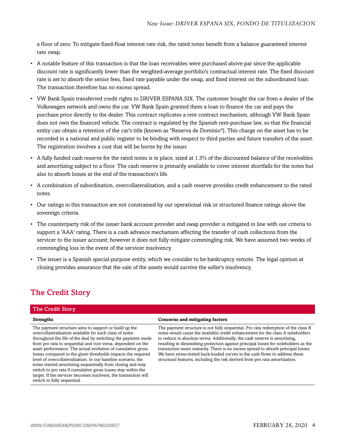a floor of zero. To mitigate fixed-float interest rate risk, the rated notes benefit from a balance guaranteed interest rate swap.

- A notable feature of this transaction is that the loan receivables were purchased above par since the applicable discount rate is significantly lower than the weighted-average portfolio's contractual interest rate. The fixed discount rate is set to absorb the senior fees, fixed rate payable under the swap, and fixed interest on the subordinated loan. The transaction therefore has no excess spread.
- VW Bank Spain transferred credit rights to DRIVER ESPANA SIX. The customer bought the car from a dealer of the Volkswagen network and owns the car. VW Bank Spain granted them a loan to finance the car and pays the purchase price directly to the dealer. This contract replicates a rent contract mechanism, although VW Bank Spain does not own the financed vehicle. The contract is regulated by the Spanish rent-purchase law, so that the financial entity can obtain a retention of the car's title (known as "Reserva de Dominio"). This charge on the asset has to be recorded in a national and public register to be binding with respect to third parties and future transfers of the asset. The registration involves a cost that will be borne by the issuer.
- A fully funded cash reserve for the rated notes is in place, sized at 1.3% of the discounted balance of the receivables and amortizing subject to a floor. The cash reserve is primarily available to cover interest shortfalls for the notes but also to absorb losses at the end of the transaction's life.
- A combination of subordination, overcollateralization, and a cash reserve provides credit enhancement to the rated notes.
- Our ratings in this transaction are not constrained by our operational risk or structured finance ratings above the sovereign criteria.
- The counterparty risk of the issuer bank account provider and swap provider is mitigated in line with our criteria to support a 'AAA' rating. There is a cash advance mechanism affecting the transfer of cash collections from the servicer to the issuer account; however it does not fully mitigate commingling risk. We have assumed two weeks of commingling loss in the event of the servicer insolvency.
- The issuer is a Spanish special-purpose entity, which we consider to be bankruptcy remote. The legal opinion at closing provides assurance that the sale of the assets would survive the seller's insolvency.

### <span id="page-3-0"></span>The Credit Story

#### The Credit Story

**Strengths Concerns and mitigating factors** The payment structure aims to support or build up the overcollateralization available for each class of notes throughout the life of the deal by switching the payment mode from pro rata to sequential and vice versa, dependent on the asset performance. The actual evolution of cumulative gross losses compared to the given thresholds impacts the required level of overcollateralization. In our baseline scenario, the notes started amortizing sequentially from closing and may switch to pro rata if cumulative gross losses stay within the target. If the servicer becomes insolvent, the transaction will switch to fully sequential. The payment structure is not fully sequential. Pro rata redemption of the class B notes would cause the available credit enhancement for the class A noteholders to reduce in absolute terms. Additionally, the cash reserve is amortizing, resulting in diminishing protection against principal losses for noteholders as the transaction nears maturity. There is no excess spread to absorb principal losses. We have stress-tested back-loaded curves in the cash flows to address these structural features, including the risk derived from pro rata amortization.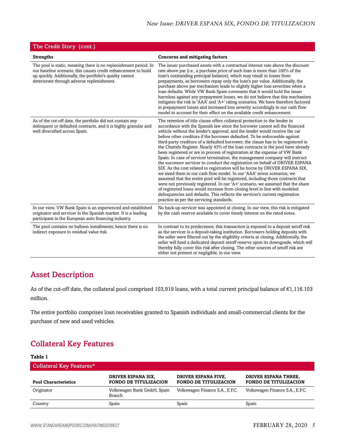| The Credit Story (cont.)                                                                                                                                                                                                                     |                                                                                                                                                                                                                                                                                                                                                                                                                                                                                                                                                                                                                                                                                                                                                                                                                                                                                                                                                                                                                                                                                                                                                                                                                                                                                               |
|----------------------------------------------------------------------------------------------------------------------------------------------------------------------------------------------------------------------------------------------|-----------------------------------------------------------------------------------------------------------------------------------------------------------------------------------------------------------------------------------------------------------------------------------------------------------------------------------------------------------------------------------------------------------------------------------------------------------------------------------------------------------------------------------------------------------------------------------------------------------------------------------------------------------------------------------------------------------------------------------------------------------------------------------------------------------------------------------------------------------------------------------------------------------------------------------------------------------------------------------------------------------------------------------------------------------------------------------------------------------------------------------------------------------------------------------------------------------------------------------------------------------------------------------------------|
| <b>Strengths</b>                                                                                                                                                                                                                             | <b>Concerns and mitigating factors</b>                                                                                                                                                                                                                                                                                                                                                                                                                                                                                                                                                                                                                                                                                                                                                                                                                                                                                                                                                                                                                                                                                                                                                                                                                                                        |
| The pool is static, meaning there is no replenishment period. In<br>our baseline scenario, this causes credit enhancement to build<br>up quickly. Additionally, the portfolio's quality cannot<br>deteriorate through adverse replenishment. | The issuer purchased assets with a contractual interest rate above the discount<br>rate above par (i.e., a purchase price of such loan is more than 100% of the<br>loan's outstanding principal balance), which may result in losses from<br>prepayments, as borrowers repay only the loan's par value. Additionally, the<br>purchase above par mechanism leads to slightly higher loss severities when a<br>loan defaults. While VW Bank Spain covenants that it would hold the issuer<br>harmless against any prepayment losses, we do not believe that this mechanism<br>mitigates the risk in 'AAA' and 'A+' rating scenarios. We have therefore factored<br>in prepayment losses and increased loss severity accordingly in our cash flow<br>model to account for their effect on the available credit enhancement.                                                                                                                                                                                                                                                                                                                                                                                                                                                                      |
| As of the cut-off date, the portfolio did not contain any<br>delinquent or defaulted contracts, and it is highly granular and<br>well diversified across Spain.                                                                              | The retention of title clause offers collateral protection to the lender in<br>accordance with the Spanish law since the borrower cannot sell the financed<br>vehicle without the lender's approval, and the lender would receive the car<br>before other creditors if the borrower defaulted. To be enforceable against<br>third-party creditors of a defaulted borrower, the clause has to be registered in<br>the Chattels Register. Nearly 43% of the loan contracts in the pool have already<br>been registered or are in process of registration at the expense of VW Bank<br>Spain. In case of servicer termination, the management company will instruct<br>the successor servicer to conduct the registration on behalf of DRIVER ESPANA<br>SIX. As the cost related to registration will be borne by DRIVER ESPANA SIX,<br>we sized them in our cash flow model. In our 'AAA' stress scenarios, we<br>assumed that the entire pool will be registered, including those contracts that<br>were not previously registered. In our 'A+' scenario, we assumed that the share<br>of registered loans would increase from closing level in line with modeled<br>delinquencies and defaults. This reflects the servicer's current registration<br>practice as per the servicing standards. |
| In our view, VW Bank Spain is an experienced and established<br>originator and servicer in the Spanish market. It is a leading<br>participant in the European auto financing industry.                                                       | No back-up servicer was appointed at closing. In our view, this risk is mitigated<br>by the cash reserve available to cover timely interest on the rated notes.                                                                                                                                                                                                                                                                                                                                                                                                                                                                                                                                                                                                                                                                                                                                                                                                                                                                                                                                                                                                                                                                                                                               |
| The pool contains no balloon installments; hence there is no<br>indirect exposure to residual value risk.                                                                                                                                    | In contrast to its predecessor, this transaction is exposed to a deposit setoff risk<br>as the servicer is a deposit-taking institution. Borrowers holding deposits with<br>the seller were filtered out by the eligibility criteria at closing. Additionally, the<br>seller will fund a dedicated deposit setoff reserve upon its downgrade, which will<br>thereby fully cover this risk after closing. The other sources of setoff risk are<br>either not present or negligible, in our view.                                                                                                                                                                                                                                                                                                                                                                                                                                                                                                                                                                                                                                                                                                                                                                                               |

### <span id="page-4-0"></span>Asset Description

As of the cut-off date, the collateral pool comprised 103,919 loans, with a total current principal balance of €1,116.103 million.

The entire portfolio comprises loan receivables granted to Spanish individuals and small-commercial clients for the purchase of new and used vehicles.

### <span id="page-4-1"></span>Collateral Key Features

#### **Table 1** Collateral Key Features\* **Pool Characteristics DRIVER ESPANA SIX, FONDO DE TITULIZACION DRIVER ESPANA FIVE, FONDO DE TITULIZACION DRIVER ESPANA THREE, FONDO DE TITULIZACION** Originator Volkswagen Bank GmbH, Spain Branch Volkswagen Finance S.A., E.F.C. Volkswagen Finance S.A., E.F.C. Country Spain Spain Spain Spain Spain Spain Spain Spain Spain Spain Spain Spain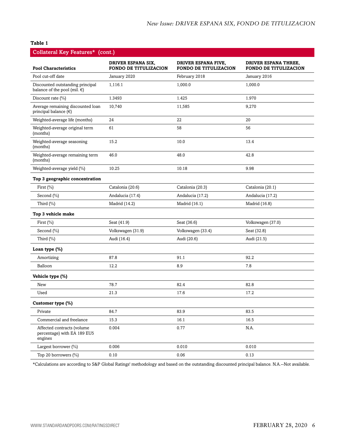#### **Table 1**

| Collateral Key Features* (cont.)                                      |                                                           |                                                     |                                                             |  |  |
|-----------------------------------------------------------------------|-----------------------------------------------------------|-----------------------------------------------------|-------------------------------------------------------------|--|--|
| <b>Pool Characteristics</b>                                           | <b>DRIVER ESPANA SIX,</b><br><b>FONDO DE TITULIZACION</b> | DRIVER ESPANA FIVE,<br><b>FONDO DE TITULIZACION</b> | <b>DRIVER ESPANA THREE,</b><br><b>FONDO DE TITULIZACION</b> |  |  |
| Pool cut-off date                                                     | January 2020                                              | February 2018                                       | January 2016                                                |  |  |
| Discounted outstanding principal<br>balance of the pool (mil. $\in$ ) | 1,116.1                                                   | 1,000.0                                             | 1,000.0                                                     |  |  |
| Discount rate $(\% )$                                                 | 1.3493                                                    | 1.425                                               | 1.970                                                       |  |  |
| Average remaining discounted loan<br>principal balance $(\epsilon)$   | 10,740                                                    | 11,585                                              | 9,270                                                       |  |  |
| Weighted-average life (months)                                        | 24                                                        | 22                                                  | 20                                                          |  |  |
| Weighted-average original term<br>(months)                            | 61                                                        | 58                                                  | 56                                                          |  |  |
| Weighted-average seasoning<br>(months)                                | 15.2                                                      | 10.0                                                | 13.4                                                        |  |  |
| Weighted-average remaining term<br>(months)                           | 46.0                                                      | 48.0                                                | 42.8                                                        |  |  |
| Weighted-average yield (%)                                            | 10.25                                                     | 10.18                                               | 9.98                                                        |  |  |
| Top 3 geographic concentration                                        |                                                           |                                                     |                                                             |  |  |
| First (%)                                                             | Catalonia (20.6)                                          | Catalonia (20.3)                                    | Catalonia (20.1)                                            |  |  |
| Second (%)                                                            | Andalucia (17.4)                                          | Andalucia (17.2)                                    | Andalucia (17.2)                                            |  |  |
| Third $(\%)$                                                          | Madrid (14.2)                                             | Madrid (16.1)                                       | Madrid (16.8)                                               |  |  |
| Top 3 vehicle make                                                    |                                                           |                                                     |                                                             |  |  |
| First $(\%)$                                                          | Seat (41.9)                                               | Seat (36.6)                                         | Volkswagen (37.0)                                           |  |  |
| Second (%)                                                            | Volkswagen (31.9)                                         | Volkswagen (33.4)                                   | Seat (32.8)                                                 |  |  |
| Third $(\%)$                                                          | Audi (16.4)                                               | Audi (20.6)                                         | Audi (21.5)                                                 |  |  |
| Loan type (%)                                                         |                                                           |                                                     |                                                             |  |  |
| Amortizing                                                            | 87.8                                                      | 91.1                                                | 92.2                                                        |  |  |
| Balloon                                                               | 12.2                                                      | 8.9                                                 | 7.8                                                         |  |  |
| Vehicle type (%)                                                      |                                                           |                                                     |                                                             |  |  |
| New                                                                   | 78.7                                                      | 82.4                                                | 82.8                                                        |  |  |
| Used                                                                  | 21.3                                                      | 17.6                                                | 17.2                                                        |  |  |
| Customer type (%)                                                     |                                                           |                                                     |                                                             |  |  |
| Private                                                               | 84.7                                                      | 83.9                                                | 83.5                                                        |  |  |
| Commercial and freelance                                              | 15.3                                                      | 16.1                                                | 16.5                                                        |  |  |
| Affected contracts (volume<br>percentage) with EA 189 EU5<br>engines  | 0.004                                                     | 0.77                                                | N.A.                                                        |  |  |
| Largest borrower (%)                                                  | 0.006                                                     | 0.010                                               | 0.010                                                       |  |  |
| Top 20 borrowers (%)                                                  | 0.10                                                      | 0.06                                                | 0.13                                                        |  |  |

\*Calculations are according to S&P Global Ratings' methodology and based on the outstanding discounted principal balance. N.A.--Not available.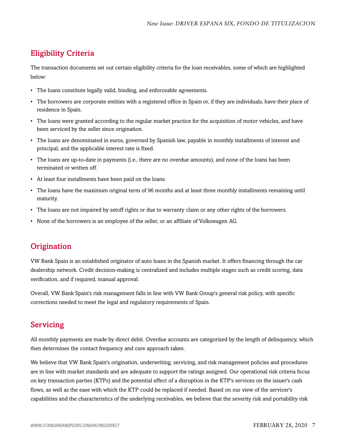### <span id="page-6-0"></span>Eligibility Criteria

The transaction documents set out certain eligibility criteria for the loan receivables, some of which are highlighted below:

- The loans constitute legally valid, binding, and enforceable agreements.
- The borrowers are corporate entities with a registered office in Spain or, if they are individuals, have their place of residence in Spain.
- The loans were granted according to the regular market practice for the acquisition of motor vehicles, and have been serviced by the seller since origination.
- The loans are denominated in euros, governed by Spanish law, payable in monthly installments of interest and principal, and the applicable interest rate is fixed.
- The loans are up-to-date in payments (i.e., there are no overdue amounts), and none of the loans has been terminated or written off.
- At least four installments have been paid on the loans.
- The loans have the maximum original term of 96 months and at least three monthly installments remaining until maturity.
- The loans are not impaired by setoff rights or due to warranty claim or any other rights of the borrowers.
- None of the borrowers is an employee of the seller, or an affiliate of Volkswagen AG.

### <span id="page-6-1"></span>**Origination**

VW Bank Spain is an established originator of auto loans in the Spanish market. It offers financing through the car dealership network. Credit decision-making is centralized and includes multiple stages such as credit scoring, data verification, and if required, manual approval.

Overall, VW Bank Spain's risk management falls in line with VW Bank Group's general risk policy, with specific corrections needed to meet the legal and regulatory requirements of Spain.

### <span id="page-6-2"></span>Servicing

All monthly payments are made by direct debit. Overdue accounts are categorized by the length of delinquency, which then determines the contact frequency and cure approach taken.

We believe that VW Bank Spain's origination, underwriting, servicing, and risk management policies and procedures are in line with market standards and are adequate to support the ratings assigned. Our operational risk criteria focus on key transaction parties (KTPs) and the potential effect of a disruption in the KTP's services on the issuer's cash flows, as well as the ease with which the KTP could be replaced if needed. Based on our view of the servicer's capabilities and the characteristics of the underlying receivables, we believe that the severity risk and portability risk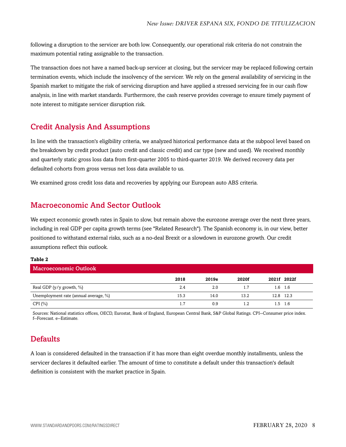following a disruption to the servicer are both low. Consequently, our operational risk criteria do not constrain the maximum potential rating assignable to the transaction.

The transaction does not have a named back-up servicer at closing, but the servicer may be replaced following certain termination events, which include the insolvency of the servicer. We rely on the general availability of servicing in the Spanish market to mitigate the risk of servicing disruption and have applied a stressed servicing fee in our cash flow analysis, in line with market standards. Furthermore, the cash reserve provides coverage to ensure timely payment of note interest to mitigate servicer disruption risk.

### <span id="page-7-0"></span>Credit Analysis And Assumptions

In line with the transaction's eligibility criteria, we analyzed historical performance data at the subpool level based on the breakdown by credit product (auto credit and classic credit) and car type (new and used). We received monthly and quarterly static gross loss data from first-quarter 2005 to third-quarter 2019. We derived recovery data per defaulted cohorts from gross versus net loss data available to us.

<span id="page-7-1"></span>We examined gross credit loss data and recoveries by applying our European auto ABS criteria.

### Macroeconomic And Sector Outlook

We expect economic growth rates in Spain to slow, but remain above the eurozone average over the next three years, including in real GDP per capita growth terms (see "Related Research"). The Spanish economy is, in our view, better positioned to withstand external risks, such as a no-deal Brexit or a slowdown in eurozone growth. Our credit assumptions reflect this outlook.

#### **Table 2**

| Macroeconomic Outlook                 |      |       |       |  |             |
|---------------------------------------|------|-------|-------|--|-------------|
|                                       | 2018 | 2019e | 2020f |  | 2021f 2022f |
| Real GDP ( $y/y$ growth, $\%$ )       | 2.4  | 2.0   | 1.7   |  | $1.6$ 1.6   |
| Unemployment rate (annual average, %) | 15.3 | 14.0  | 13.2  |  | 12.8 12.3   |
| CPI $(\% )$                           | 1.7  | 0.9   | 1.2   |  | $1.5$ 1.6   |

Sources: National statistics offices, OECD, Eurostat, Bank of England, European Central Bank, S&P Global Ratings. CPI--Consumer price index. f--Forecast. e--Estimate.

### <span id="page-7-2"></span>**Defaults**

A loan is considered defaulted in the transaction if it has more than eight overdue monthly installments, unless the servicer declares it defaulted earlier. The amount of time to constitute a default under this transaction's default definition is consistent with the market practice in Spain.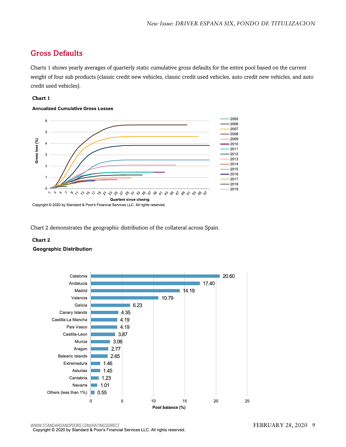### <span id="page-8-0"></span>Gross Defaults

Charts 1 shows yearly averages of quarterly static cumulative gross defaults for the entire pool based on the current weight of four sub products (classic credit new vehicles, classic credit used vehicles, auto credit new vehicles, and auto credit used vehicles).

#### **Chart 1**

#### **Annualized Cumulative Gross Losses**



Chart 2 demonstrates the geographic distribution of the collateral across Spain.

#### **Chart 2**

#### **Geographic Distribution**

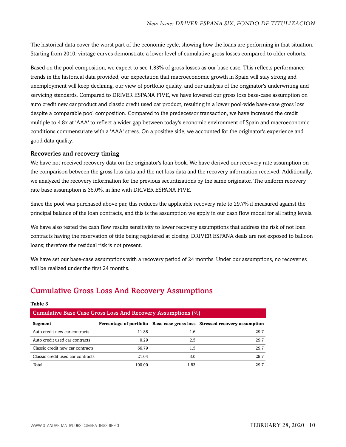The historical data cover the worst part of the economic cycle, showing how the loans are performing in that situation. Starting from 2010, vintage curves demonstrate a lower level of cumulative gross losses compared to older cohorts.

Based on the pool composition, we expect to see 1.83% of gross losses as our base case. This reflects performance trends in the historical data provided, our expectation that macroeconomic growth in Spain will stay strong and unemployment will keep declining, our view of portfolio quality, and our analysis of the originator's underwriting and servicing standards. Compared to DRIVER ESPANA FIVE, we have lowered our gross loss base-case assumption on auto credit new car product and classic credit used car product, resulting in a lower pool-wide base-case gross loss despite a comparable pool composition. Compared to the predecessor transaction, we have increased the credit multiple to 4.8x at 'AAA' to reflect a wider gap between today's economic environment of Spain and macroeconomic conditions commensurate with a 'AAA' stress. On a positive side, we accounted for the originator's experience and good data quality.

#### Recoveries and recovery timing

We have not received recovery data on the originator's loan book. We have derived our recovery rate assumption on the comparison between the gross loss data and the net loss data and the recovery information received. Additionally, we analyzed the recovery information for the previous securitizations by the same originator. The uniform recovery rate base assumption is 35.0%, in line with DRIVER ESPANA FIVE.

Since the pool was purchased above par, this reduces the applicable recovery rate to 29.7% if measured against the principal balance of the loan contracts, and this is the assumption we apply in our cash flow model for all rating levels.

We have also tested the cash flow results sensitivity to lower recovery assumptions that address the risk of not loan contracts having the reservation of title being registered at closing. DRIVER ESPANA deals are not exposed to balloon loans; therefore the residual risk is not present.

We have set our base-case assumptions with a recovery period of 24 months. Under our assumptions, no recoveries will be realized under the first 24 months.

### <span id="page-9-0"></span>Cumulative Gross Loss And Recovery Assumptions

#### **Table 3**

| Cumulative Base Case Gross Loss And Recovery Assumptions $(\%)$ |        |      |                                                                           |  |  |
|-----------------------------------------------------------------|--------|------|---------------------------------------------------------------------------|--|--|
| Segment                                                         |        |      | Percentage of portfolio Base case gross loss Stressed recovery assumption |  |  |
| Auto credit new car contracts                                   | 11.88  | 1.6  | 29.7                                                                      |  |  |
| Auto credit used car contracts                                  | 0.29   | 2.5  | 29.7                                                                      |  |  |
| Classic credit new car contracts                                | 66.79  | 1.5  | 29.7                                                                      |  |  |
| Classic credit used car contracts                               | 21.04  | 3.0  | 29.7                                                                      |  |  |
| Total                                                           | 100.00 | 1.83 | 29.7                                                                      |  |  |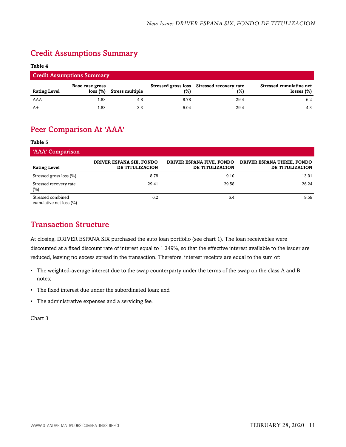### <span id="page-10-0"></span>Credit Assumptions Summary

#### **Table 4**

| <b>Credit Assumptions Summary</b> |                             |                        |      |                                                   |                                                 |
|-----------------------------------|-----------------------------|------------------------|------|---------------------------------------------------|-------------------------------------------------|
| <b>Rating Level</b>               | Base case gross<br>loss (%) | <b>Stress multiple</b> | (%)  | Stressed gross loss Stressed recovery rate<br>(%) | <b>Stressed cumulative net</b><br>losses $(\%)$ |
| AAA                               | l.83                        | 4.8                    | 8.78 | 29.4                                              | 6.2                                             |
| $A+$                              | . 83                        | 3.3                    | 6.04 | 29.4                                              | 4.3                                             |

### <span id="page-10-1"></span>Peer Comparison At 'AAA'

#### **Table 5**

| 'AAA' Comparison                                 |                                             |                                              |                                               |
|--------------------------------------------------|---------------------------------------------|----------------------------------------------|-----------------------------------------------|
| <b>Rating Level</b>                              | DRIVER ESPANA SIX, FONDO<br>DE TITULIZACION | DRIVER ESPANA FIVE, FONDO<br>DE TITULIZACION | DRIVER ESPANA THREE, FONDO<br>DE TITULIZACION |
| Stressed gross loss (%)                          | 8.78                                        | 9.10                                         | 13.01                                         |
| Stressed recovery rate<br>$(\%)$                 | 29.41                                       | 29.58                                        | 26.24                                         |
| Stressed combined<br>cumulative net loss $(\% )$ | 6.2                                         | 6.4                                          | 9.59                                          |

### <span id="page-10-2"></span>Transaction Structure

At closing, DRIVER ESPANA SIX purchased the auto loan portfolio (see chart 1). The loan receivables were discounted at a fixed discount rate of interest equal to 1.349%, so that the effective interest available to the issuer are reduced, leaving no excess spread in the transaction. Therefore, interest receipts are equal to the sum of:

- The weighted-average interest due to the swap counterparty under the terms of the swap on the class A and B notes;
- The fixed interest due under the subordinated loan; and
- The administrative expenses and a servicing fee.

Chart 3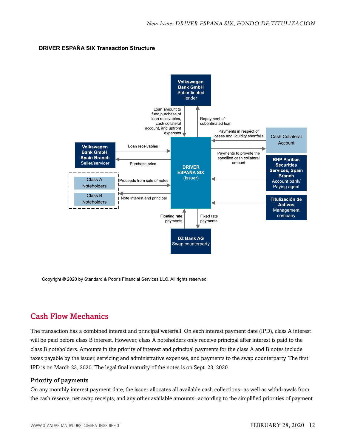#### **DRIVER ESPAÑA SIX Transaction Structure**



Copyright © 2020 by Standard & Poor's Financial Services LLC. All rights reserved.

### <span id="page-11-0"></span>Cash Flow Mechanics

The transaction has a combined interest and principal waterfall. On each interest payment date (IPD), class A interest will be paid before class B interest. However, class A noteholders only receive principal after interest is paid to the class B noteholders. Amounts in the priority of interest and principal payments for the class A and B notes include taxes payable by the issuer, servicing and administrative expenses, and payments to the swap counterparty. The first IPD is on March 23, 2020. The legal final maturity of the notes is on Sept. 23, 2030.

#### Priority of payments

On any monthly interest payment date, the issuer allocates all available cash collections--as well as withdrawals from the cash reserve, net swap receipts, and any other available amounts--according to the simplified priorities of payment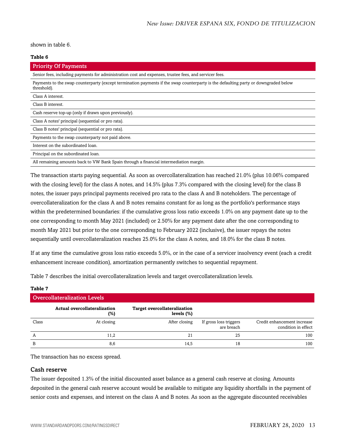shown in table 6.

#### **Table 6**

| <b>Priority Of Payments</b>                                                                                                                        |  |  |  |  |  |
|----------------------------------------------------------------------------------------------------------------------------------------------------|--|--|--|--|--|
| Senior fees, including payments for administration cost and expenses, trustee fees, and servicer fees.                                             |  |  |  |  |  |
| Payments to the swap counterparty (except termination payments if the swap counterparty is the defaulting party or downgraded below<br>threshold). |  |  |  |  |  |
| Class A interest.                                                                                                                                  |  |  |  |  |  |
| Class B interest.                                                                                                                                  |  |  |  |  |  |
| Cash reserve top-up (only if drawn upon previously).                                                                                               |  |  |  |  |  |
| Class A notes' principal (sequential or pro rata).                                                                                                 |  |  |  |  |  |
| Class B notes' principal (sequential or pro rata).                                                                                                 |  |  |  |  |  |
| Payments to the swap counterparty not paid above.                                                                                                  |  |  |  |  |  |
| Interest on the subordinated loan.                                                                                                                 |  |  |  |  |  |
| Principal on the subordinated loan.                                                                                                                |  |  |  |  |  |
| All remaining amounts back to VW Bank Spain through a financial intermediation margin.                                                             |  |  |  |  |  |

The transaction starts paying sequential. As soon as overcollateralization has reached 21.0% (plus 10.06% compared with the closing level) for the class A notes, and 14.5% (plus 7.3% compared with the closing level) for the class B notes, the issuer pays principal payments received pro rata to the class A and B noteholders. The percentage of overcollateralization for the class A and B notes remains constant for as long as the portfolio's performance stays within the predetermined boundaries: if the cumulative gross loss ratio exceeds 1.0% on any payment date up to the one corresponding to month May 2021 (included) or 2.50% for any payment date after the one corresponding to month May 2021 but prior to the one corresponding to February 2022 (inclusive), the issuer repays the notes sequentially until overcollateralization reaches 25.0% for the class A notes, and 18.0% for the class B notes.

If at any time the cumulative gross loss ratio exceeds 5.0%, or in the case of a servicer insolvency event (each a credit enhancement increase condition), amortization permanently switches to sequential repayment.

Table 7 describes the initial overcollateralization levels and target overcollateralization levels.

| <b>Overcollateralization Levels</b> |                                     |                                                      |                                      |                                                    |  |  |
|-------------------------------------|-------------------------------------|------------------------------------------------------|--------------------------------------|----------------------------------------------------|--|--|
|                                     | Actual overcollateralization<br>(%) | <b>Target overcollateralization</b><br>levels $(\%)$ |                                      |                                                    |  |  |
| Class                               | At closing                          | After closing                                        | If gross loss triggers<br>are breach | Credit enhancement increase<br>condition in effect |  |  |
| А                                   | 11,2                                | 21                                                   | 25                                   | 100                                                |  |  |
| B                                   | 8,6                                 | 14.5                                                 | 18                                   | 100                                                |  |  |

The transaction has no excess spread.

#### Cash reserve

**Table 7**

The issuer deposited 1.3% of the initial discounted asset balance as a general cash reserve at closing. Amounts deposited in the general cash reserve account would be available to mitigate any liquidity shortfalls in the payment of senior costs and expenses, and interest on the class A and B notes. As soon as the aggregate discounted receivables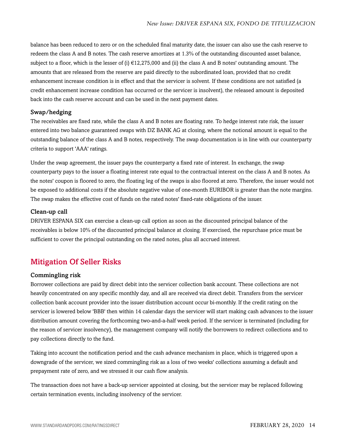balance has been reduced to zero or on the scheduled final maturity date, the issuer can also use the cash reserve to redeem the class A and B notes. The cash reserve amortizes at 1.3% of the outstanding discounted asset balance, subject to a floor, which is the lesser of (i)  $\epsilon$ 12,275,000 and (ii) the class A and B notes' outstanding amount. The amounts that are released from the reserve are paid directly to the subordinated loan, provided that no credit enhancement increase condition is in effect and that the servicer is solvent. If these conditions are not satisfied (a credit enhancement increase condition has occurred or the servicer is insolvent), the released amount is deposited back into the cash reserve account and can be used in the next payment dates.

#### Swap/hedging

The receivables are fixed rate, while the class A and B notes are floating rate. To hedge interest rate risk, the issuer entered into two balance guaranteed swaps with DZ BANK AG at closing, where the notional amount is equal to the outstanding balance of the class A and B notes, respectively. The swap documentation is in line with our counterparty criteria to support 'AAA' ratings.

Under the swap agreement, the issuer pays the counterparty a fixed rate of interest. In exchange, the swap counterparty pays to the issuer a floating interest rate equal to the contractual interest on the class A and B notes. As the notes' coupon is floored to zero, the floating leg of the swaps is also floored at zero. Therefore, the issuer would not be exposed to additional costs if the absolute negative value of one-month EURIBOR is greater than the note margins. The swap makes the effective cost of funds on the rated notes' fixed-rate obligations of the issuer.

#### Clean-up call

DRIVER ESPANA SIX can exercise a clean-up call option as soon as the discounted principal balance of the receivables is below 10% of the discounted principal balance at closing. If exercised, the repurchase price must be sufficient to cover the principal outstanding on the rated notes, plus all accrued interest.

### <span id="page-13-0"></span>Mitigation Of Seller Risks

#### Commingling risk

Borrower collections are paid by direct debit into the servicer collection bank account. These collections are not heavily concentrated on any specific monthly day, and all are received via direct debit. Transfers from the servicer collection bank account provider into the issuer distribution account occur bi-monthly. If the credit rating on the servicer is lowered below 'BBB' then within 14 calendar days the servicer will start making cash advances to the issuer distribution amount covering the forthcoming two-and-a-half week period. If the servicer is terminated (including for the reason of servicer insolvency), the management company will notify the borrowers to redirect collections and to pay collections directly to the fund.

Taking into account the notification period and the cash advance mechanism in place, which is triggered upon a downgrade of the servicer, we sized commingling risk as a loss of two weeks' collections assuming a default and prepayment rate of zero, and we stressed it our cash flow analysis.

The transaction does not have a back-up servicer appointed at closing, but the servicer may be replaced following certain termination events, including insolvency of the servicer.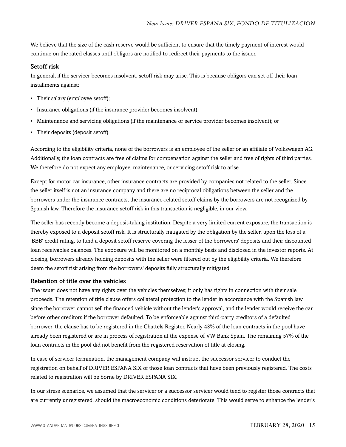We believe that the size of the cash reserve would be sufficient to ensure that the timely payment of interest would continue on the rated classes until obligors are notified to redirect their payments to the issuer.

#### Setoff risk

In general, if the servicer becomes insolvent, setoff risk may arise. This is because obligors can set off their loan installments against:

- Their salary (employee setoff);
- Insurance obligations (if the insurance provider becomes insolvent);
- Maintenance and servicing obligations (if the maintenance or service provider becomes insolvent); or
- Their deposits (deposit setoff).

According to the eligibility criteria, none of the borrowers is an employee of the seller or an affiliate of Volkswagen AG. Additionally, the loan contracts are free of claims for compensation against the seller and free of rights of third parties. We therefore do not expect any employee, maintenance, or servicing setoff risk to arise.

Except for motor car insurance, other insurance contracts are provided by companies not related to the seller. Since the seller itself is not an insurance company and there are no reciprocal obligations between the seller and the borrowers under the insurance contracts, the insurance-related setoff claims by the borrowers are not recognized by Spanish law. Therefore the insurance setoff risk in this transaction is negligible, in our view.

The seller has recently become a deposit-taking institution. Despite a very limited current exposure, the transaction is thereby exposed to a deposit setoff risk. It is structurally mitigated by the obligation by the seller, upon the loss of a 'BBB' credit rating, to fund a deposit setoff reserve covering the lesser of the borrowers' deposits and their discounted loan receivables balances. The exposure will be monitored on a monthly basis and disclosed in the investor reports. At closing, borrowers already holding deposits with the seller were filtered out by the eligibility criteria. We therefore deem the setoff risk arising from the borrowers' deposits fully structurally mitigated.

#### Retention of title over the vehicles

The issuer does not have any rights over the vehicles themselves; it only has rights in connection with their sale proceeds. The retention of title clause offers collateral protection to the lender in accordance with the Spanish law since the borrower cannot sell the financed vehicle without the lender's approval, and the lender would receive the car before other creditors if the borrower defaulted. To be enforceable against third-party creditors of a defaulted borrower, the clause has to be registered in the Chattels Register. Nearly 43% of the loan contracts in the pool have already been registered or are in process of registration at the expense of VW Bank Spain. The remaining 57% of the loan contracts in the pool did not benefit from the registered reservation of title at closing.

In case of servicer termination, the management company will instruct the successor servicer to conduct the registration on behalf of DRIVER ESPANA SIX of those loan contracts that have been previously registered. The costs related to registration will be borne by DRIVER ESPANA SIX.

In our stress scenarios, we assumed that the servicer or a successor servicer would tend to register those contracts that are currently unregistered, should the macroeconomic conditions deteriorate. This would serve to enhance the lender's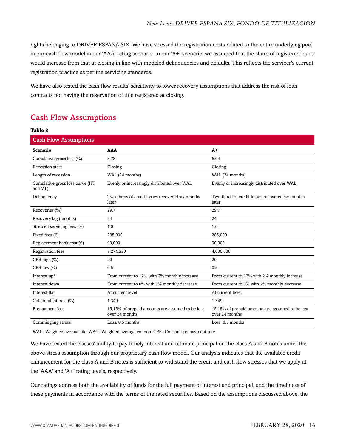rights belonging to DRIVER ESPANA SIX. We have stressed the registration costs related to the entire underlying pool in our cash flow model in our 'AAA' rating scenario. In our 'A+' scenario, we assumed that the share of registered loans would increase from that at closing in line with modeled delinquencies and defaults. This reflects the servicer's current registration practice as per the servicing standards.

We have also tested the cash flow results' sensitivity to lower recovery assumptions that address the risk of loan contracts not having the reservation of title registered at closing.

### <span id="page-15-0"></span>Cash Flow Assumptions

#### **Table 8**

| <b>Cash Flow Assumptions</b>               |                                                                    |                                                                    |
|--------------------------------------------|--------------------------------------------------------------------|--------------------------------------------------------------------|
| <b>Scenario</b>                            | AAA                                                                | $A+$                                                               |
| Cumulative gross loss (%)                  | 8.78                                                               | 6.04                                                               |
| <b>Recession start</b>                     | Closing                                                            | Closing                                                            |
| Length of recession                        | WAL (24 months)                                                    | WAL (24 months)                                                    |
| Cumulative gross loss curve (HT<br>and VT) | Evenly or increasingly distributed over WAL                        | Evenly or increasingly distributed over WAL                        |
| Delinquency                                | Two-thirds of credit losses recovered six months<br>later          | Two-thirds of credit losses recovered six months<br>later          |
| Recoveries (%)                             | 29.7                                                               | 29.7                                                               |
| Recovery lag (months)                      | 24                                                                 | 24                                                                 |
| Stressed servicing fees (%)                | 1.0                                                                | 1.0                                                                |
| Fixed fees $(\epsilon)$                    | 285,000                                                            | 285,000                                                            |
| Replacement bank cost $(\epsilon)$         | 90,000                                                             | 90.000                                                             |
| Registration fees                          | 7,274,330                                                          | 4,000,000                                                          |
| CPR high (%)                               | 20                                                                 | 20                                                                 |
| CPR low $(\% )$                            | 0.5                                                                | 0.5                                                                |
| Interest up*                               | From current to 12% with 2% monthly increase                       | From current to 12% with 2% monthly increase                       |
| Interest down                              | From current to 0% with 2% monthly decrease                        | From current to 0% with 2% monthly decrease                        |
| Interest flat                              | At current level                                                   | At current level                                                   |
| Collateral interest (%)                    | 1.349                                                              | 1.349                                                              |
| Prepayment loss                            | 15.15% of prepaid amounts are assumed to be lost<br>over 24 months | 15.15% of prepaid amounts are assumed to be lost<br>over 24 months |
| Commingling stress                         | Loss, 0.5 months                                                   | Loss, 0.5 months                                                   |

WAL--Weighted average life. WAC--Weighted average coupon. CPR--Constant prepayment rate.

We have tested the classes' ability to pay timely interest and ultimate principal on the class A and B notes under the above stress assumption through our proprietary cash flow model. Our analysis indicates that the available credit enhancement for the class A and B notes is sufficient to withstand the credit and cash flow stresses that we apply at the 'AAA' and 'A+' rating levels, respectively.

Our ratings address both the availability of funds for the full payment of interest and principal, and the timeliness of these payments in accordance with the terms of the rated securities. Based on the assumptions discussed above, the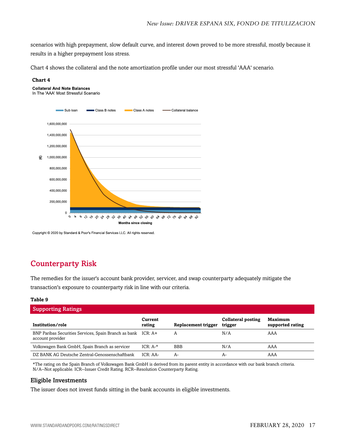scenarios with high prepayment, slow default curve, and interest down proved to be more stressful, mostly because it results in a higher prepayment loss stress.

Chart 4 shows the collateral and the note amortization profile under our most stressful 'AAA' scenario.

#### **Chart 4**



Copyright © 2020 by Standard & Poor's Financial Services LLC. All rights reserved.

### <span id="page-16-0"></span>Counterparty Risk

The remedies for the issuer's account bank provider, servicer, and swap counterparty adequately mitigate the transaction's exposure to counterparty risk in line with our criteria.

#### **Table 9**

| <b>Supporting Ratings</b>                                                         |                   |                     |                                      |                                    |  |  |
|-----------------------------------------------------------------------------------|-------------------|---------------------|--------------------------------------|------------------------------------|--|--|
| Institution/role                                                                  | Current<br>rating | Replacement trigger | <b>Collateral posting</b><br>trigger | <b>Maximum</b><br>supported rating |  |  |
| BNP Paribas Securities Services, Spain Branch as bank ICR: A+<br>account provider |                   | A                   | N/A                                  | AAA                                |  |  |
| Volkswagen Bank GmbH, Spain Branch as servicer                                    | $ICR: A-*$        | <b>BBB</b>          | N/A                                  | AAA                                |  |  |
| DZ BANK AG Deutsche Zentral-Genossenschaftbank                                    | $ICR: AA-$        | A-                  | А-                                   | AAA                                |  |  |

\*The rating on the Spain Branch of Volkswagen Bank GmbH is derived from its parent entity in accordance with our bank branch criteria. N/A--Not applicable. ICR--Issuer Credit Rating. RCR--Resolution Counterparty Rating.

#### Eligible Investments

The issuer does not invest funds sitting in the bank accounts in eligible investments.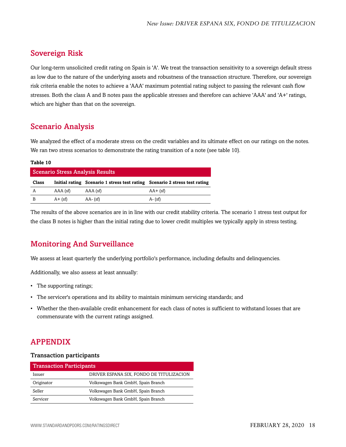### <span id="page-17-0"></span>Sovereign Risk

Our long-term unsolicited credit rating on Spain is 'A'. We treat the transaction sensitivity to a sovereign default stress as low due to the nature of the underlying assets and robustness of the transaction structure. Therefore, our sovereign risk criteria enable the notes to achieve a 'AAA' maximum potential rating subject to passing the relevant cash flow stresses. Both the class A and B notes pass the applicable stresses and therefore can achieve 'AAA' and 'A+' ratings, which are higher than that on the sovereign.

### <span id="page-17-1"></span>Scenario Analysis

We analyzed the effect of a moderate stress on the credit variables and its ultimate effect on our ratings on the notes. We ran two stress scenarios to demonstrate the rating transition of a note (see table 10).

#### **Table 10**

| <b>Scenario Stress Analysis Results</b> |            |                                                                            |             |  |  |
|-----------------------------------------|------------|----------------------------------------------------------------------------|-------------|--|--|
| Class                                   |            | Initial rating Scenario 1 stress test rating Scenario 2 stress test rating |             |  |  |
| A                                       | AAA (sf)   | $AAA$ (sf)                                                                 | $AA + (sf)$ |  |  |
| B                                       | $A + (sf)$ | $AA - (sf)$                                                                | $A - (sf)$  |  |  |

The results of the above scenarios are in in line with our credit stability criteria. The scenario 1 stress test output for the class B notes is higher than the initial rating due to lower credit multiples we typically apply in stress testing.

### <span id="page-17-2"></span>Monitoring And Surveillance

We assess at least quarterly the underlying portfolio's performance, including defaults and delinquencies.

Additionally, we also assess at least annually:

- The supporting ratings;
- The servicer's operations and its ability to maintain minimum servicing standards; and
- Whether the then-available credit enhancement for each class of notes is sufficient to withstand losses that are commensurate with the current ratings assigned.

### <span id="page-17-3"></span>APPENDIX

#### Transaction participants

| <b>Transaction Participants</b> |                                          |
|---------------------------------|------------------------------------------|
| Issuer                          | DRIVER ESPANA SIX, FONDO DE TITULIZACION |
| Originator                      | Volkswagen Bank GmbH, Spain Branch       |
| Seller                          | Volkswagen Bank GmbH, Spain Branch       |
| Servicer                        | Volkswagen Bank GmbH, Spain Branch       |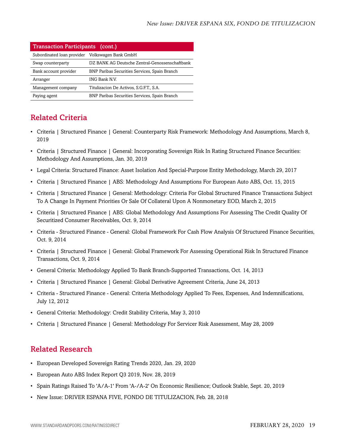| <b>Transaction Participants (cont.)</b>         |                                                      |  |
|-------------------------------------------------|------------------------------------------------------|--|
| Subordinated loan provider Volkswagen Bank GmbH |                                                      |  |
| Swap counterparty                               | DZ BANK AG Deutsche Zentral-Genossenschaftbank       |  |
| Bank account provider                           | <b>BNP Paribas Securities Services, Spain Branch</b> |  |
| Arranger                                        | <b>ING Bank N.V.</b>                                 |  |
| Management company                              | Titulizacion De Activos, S.G.F.T., S.A.              |  |
| Paying agent                                    | BNP Paribas Securities Services, Spain Branch        |  |

### <span id="page-18-0"></span>Related Criteria

- Criteria | Structured Finance | General: Counterparty Risk Framework: Methodology And Assumptions, March 8, 2019
- Criteria | Structured Finance | General: Incorporating Sovereign Risk In Rating Structured Finance Securities: Methodology And Assumptions, Jan. 30, 2019
- Legal Criteria: Structured Finance: Asset Isolation And Special-Purpose Entity Methodology, March 29, 2017
- Criteria | Structured Finance | ABS: Methodology And Assumptions For European Auto ABS, Oct. 15, 2015
- Criteria | Structured Finance | General: Methodology: Criteria For Global Structured Finance Transactions Subject To A Change In Payment Priorities Or Sale Of Collateral Upon A Nonmonetary EOD, March 2, 2015
- Criteria | Structured Finance | ABS: Global Methodology And Assumptions For Assessing The Credit Quality Of Securitized Consumer Receivables, Oct. 9, 2014
- Criteria Structured Finance General: Global Framework For Cash Flow Analysis Of Structured Finance Securities, Oct. 9, 2014
- Criteria | Structured Finance | General: Global Framework For Assessing Operational Risk In Structured Finance Transactions, Oct. 9, 2014
- General Criteria: Methodology Applied To Bank Branch-Supported Transactions, Oct. 14, 2013
- Criteria | Structured Finance | General: Global Derivative Agreement Criteria, June 24, 2013
- Criteria Structured Finance General: Criteria Methodology Applied To Fees, Expenses, And Indemnifications, July 12, 2012
- General Criteria: Methodology: Credit Stability Criteria, May 3, 2010
- Criteria | Structured Finance | General: Methodology For Servicer Risk Assessment, May 28, 2009

### <span id="page-18-1"></span>Related Research

- European Developed Sovereign Rating Trends 2020, Jan. 29, 2020
- European Auto ABS Index Report Q3 2019, Nov. 28, 2019
- Spain Ratings Raised To 'A/A-1' From 'A-/A-2' On Economic Resilience; Outlook Stable, Sept. 20, 2019
- New Issue: DRIVER ESPANA FIVE, FONDO DE TITULIZACION, Feb. 28, 2018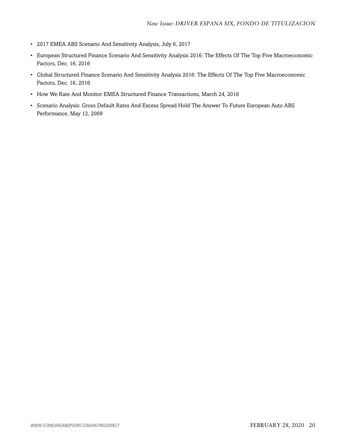- 2017 EMEA ABS Scenario And Sensitivity Analysis, July 6, 2017
- European Structured Finance Scenario And Sensitivity Analysis 2016: The Effects Of The Top Five Macroeconomic Factors, Dec. 16, 2016
- Global Structured Finance Scenario And Sensitivity Analysis 2016: The Effects Of The Top Five Macroeconomic Factors, Dec. 16, 2016
- How We Rate And Monitor EMEA Structured Finance Transactions, March 24, 2016
- Scenario Analysis: Gross Default Rates And Excess Spread Hold The Answer To Future European Auto ABS Performance, May 12, 2009